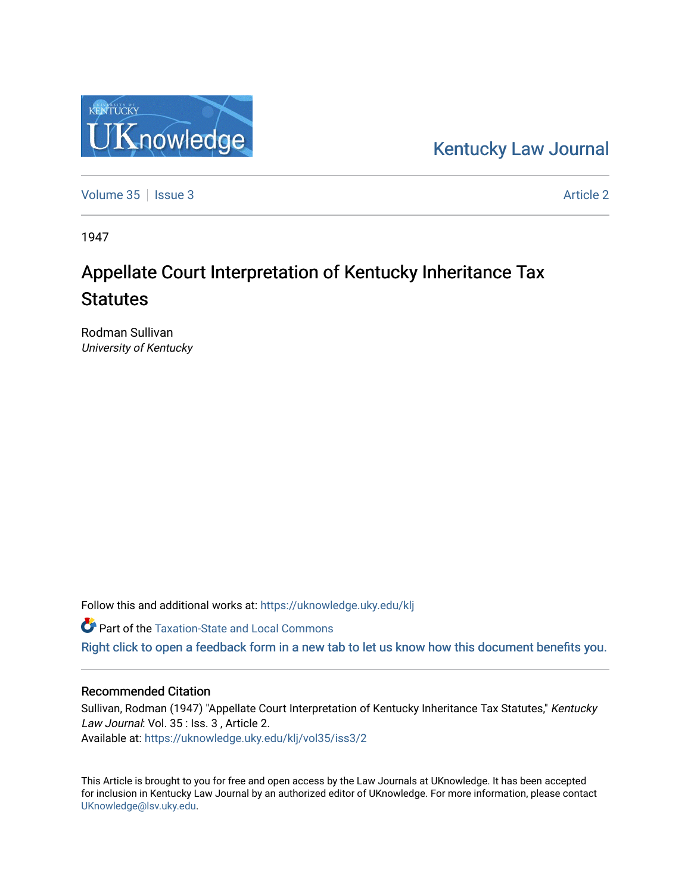## [Kentucky Law Journal](https://uknowledge.uky.edu/klj)

[Volume 35](https://uknowledge.uky.edu/klj/vol35) | [Issue 3](https://uknowledge.uky.edu/klj/vol35/iss3) [Article 2](https://uknowledge.uky.edu/klj/vol35/iss3/2) Article 2

Knowledge

KENTUCKY

1947

# Appellate Court Interpretation of Kentucky Inheritance Tax **Statutes**

Rodman Sullivan University of Kentucky

Follow this and additional works at: [https://uknowledge.uky.edu/klj](https://uknowledge.uky.edu/klj?utm_source=uknowledge.uky.edu%2Fklj%2Fvol35%2Fiss3%2F2&utm_medium=PDF&utm_campaign=PDFCoverPages)

**Part of the Taxation-State and Local Commons** 

[Right click to open a feedback form in a new tab to let us know how this document benefits you.](https://uky.az1.qualtrics.com/jfe/form/SV_9mq8fx2GnONRfz7)

### Recommended Citation

Sullivan, Rodman (1947) "Appellate Court Interpretation of Kentucky Inheritance Tax Statutes," Kentucky Law Journal: Vol. 35 : Iss. 3, Article 2. Available at: [https://uknowledge.uky.edu/klj/vol35/iss3/2](https://uknowledge.uky.edu/klj/vol35/iss3/2?utm_source=uknowledge.uky.edu%2Fklj%2Fvol35%2Fiss3%2F2&utm_medium=PDF&utm_campaign=PDFCoverPages)

This Article is brought to you for free and open access by the Law Journals at UKnowledge. It has been accepted for inclusion in Kentucky Law Journal by an authorized editor of UKnowledge. For more information, please contact [UKnowledge@lsv.uky.edu.](mailto:UKnowledge@lsv.uky.edu)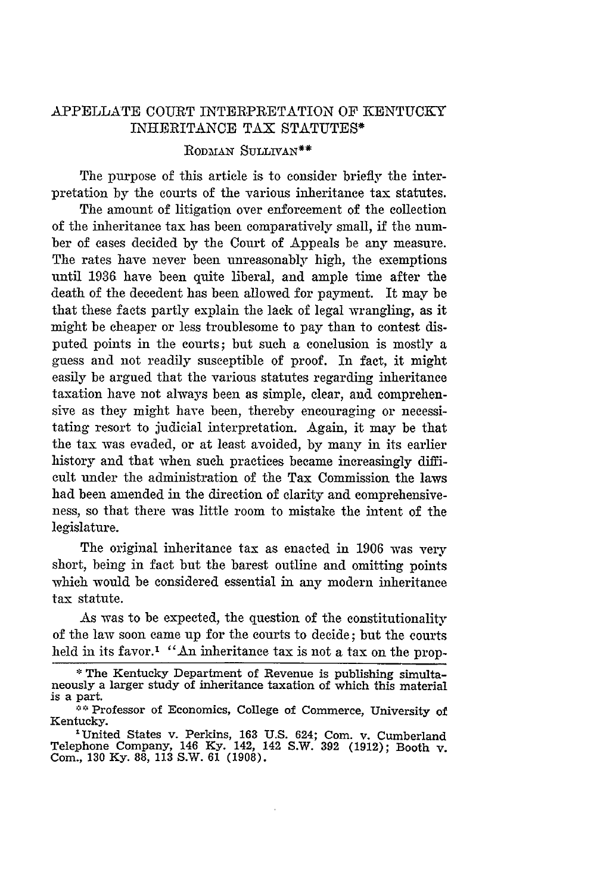#### APPELLATE COURT INTERPRETATION OF KENTUCKY INHERITANCE TAX STATUTES\*

#### RODMAN SULLIVAN<sup>\*\*</sup>

The purpose of this article is to consider briefly the interpretation by the courts of the various inheritance tax statutes.

The amount of litigation over enforcement of the collection of the inheritance tax has been comparatively small, if the number of cases decided by the Court of Appeals be any measure. The rates have never been unreasonably high, the exemptions until 1936 have been quite liberal, and ample time after the death of the decedent has been allowed for payment. It may be that these facts partly explain the lack of legal wrangling, as it might be cheaper or less troublesome to pay than to contest disputed points in the courts; but such a conclusion is mostly a guess and not readily susceptible of proof. In fact, it might easily be argued that the various statutes regarding inheritance taxation have not always been as simple, clear, and comprehensive as they might have been, thereby encouraging or necessitating resort to judicial interpretation. Again, it may be that the tax was evaded, or at least avoided, by many in its earlier history and that when such practices became increasingly difficult under the administration of the Tax Commission the laws had been amended in the direction of clarity and comprehensiveness, so that there was little room to mistake the intent of the legislature.

The original inheritance tax as enacted in 1906 was *very* short, being in fact but the barest outline and omitting points which would be considered essential in any modern inheritance tax statute.

As was to be expected, the question of the constitutionality of the law soon came up for the courts to decide; but the courts held in its favor.<sup>1</sup> "An inheritance tax is not a tax on the prop-

<sup>\*</sup> The Kentucky Department of Revenue is publishing simultaneously a larger study of inheritance taxation of which this material is a part.

**<sup>\*\*</sup>** Professor of Economics, College of Commerce, University of Kentucky.

<sup>&</sup>lt;sup>1</sup> United States v. Perkins, 163 U.S. 624; Com. v. Cumberland Telephone Company, 146 Ky. 142, 142 S.W. 392 (1912); Booth v. Com., 130 Ky. 88, 113 S.W. 61 (1908).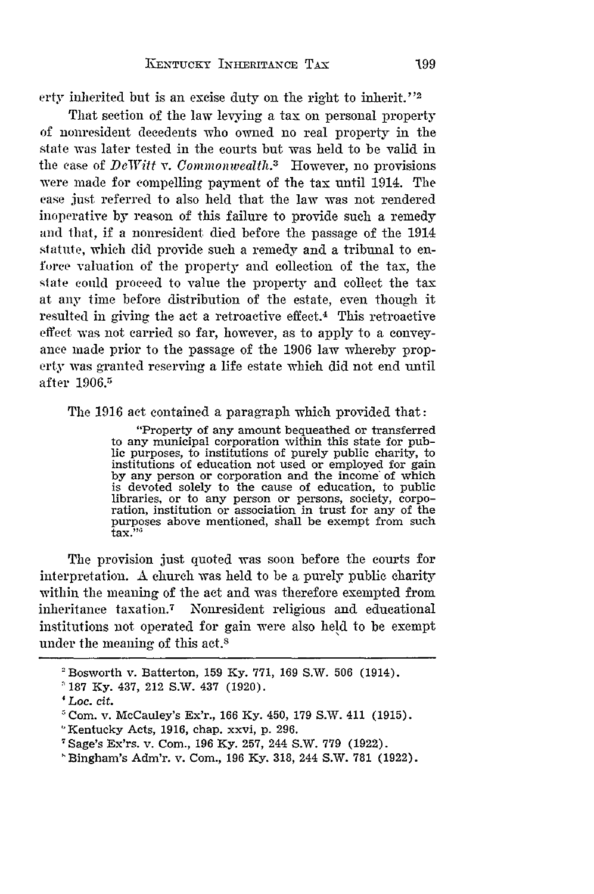erty inherited but is an excise duty on the right to inherit."<sup>2</sup>

That section of the law levying a tax on personal property of nonresident decedents who owned no real property in the state was later tested in the courts but was held to be valid in the case of *DeWitt v. Commonwealth*.<sup>3</sup> However, no provisions were made for compelling payment of the tax until 1914. The case just referred to also held that the law was not rendered inoperative by reason of this failure to provide such a remedy and that, if a nonresident died before the passage of the 1914 statute, which did provide such a remedy and a tribunal to enforce valuation of the property and collection of the tax, the state could proceed to value the property and collect the tax at any time before distribution of the estate, even though it resulted in giving the act a retroactive effect.<sup>4</sup> This retroactive effect was not carried so far, however, as to apply to a conveyance made prior to the passage of the 1906 law whereby property was granted reserving a life estate which did not end until after 1906.<sup>5</sup>

The 1916 act contained a paragraph which provided that:

"Property of any amount bequeathed or transferred to any municipal corporation within this state for public purposes, to institutions of purely public charity, to institutions of education not used or employed for gain **by** any person or corporation and the income of which is devoted solely to the cause of education, to public libraries, or to any person or persons, society, corporation, institution or association in trust for any of the purposes above mentioned, shall be exempt from such  $\text{tax.}$ "

The provision just quoted was soon before the courts for interpretation. A church was held to be a purely public charity within the meaning of the act and was therefore exempted from inheritance taxation.7 Nonresident religious and educational institutions not operated for gain were also held to be exempt under the meaning of this act.<sup>8</sup>

<sup>&</sup>lt;sup>2</sup> Bosworth v. Batterton, 159 Ky. 771, 169 S.W. 506 (1914).

<sup>187</sup> Ky. 437, 212 S.W. 437 (1920).

*<sup>&#</sup>x27;Loc.* cit.

 $5$  Com. v. McCauley's Ex'r., 166 Ky. 450, 179 S.W. 411 (1915).

<sup>&#</sup>x27;Kentucky Acts, 1916, chap. xxvi, p. 296.

Sage's Ex'rs. v. Com., 196 Ky. 257, 244 S.W. 779 (1922).

Bingham's Adm'r. v. Com., 196 Ky. 318, 244 S.W. 781 (1922).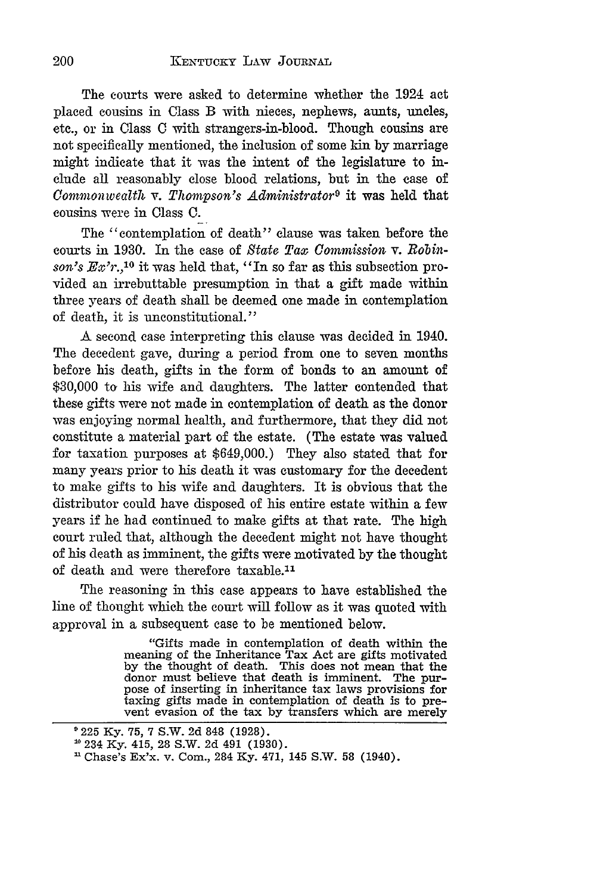The courts were asked to determine whether the 1924 act placed cousins in Class B with nieces, nephews, aunts, uncles, etc., or in Class C with strangers-in-blood. Though cousins are not specifically mentioned, the inclusion of some kin by marriage might indicate that it was the intent of the legislature to include all reasonably close blood relations, but in the case of *Commonivealth v. Thompson's Administrator9* it was held that cousins were in Class C.

The "contemplation of death" clause was taken before the courts in 1930. In the case of *State Tax Commission v. Robinson's Ex'r.,'0* it was held that, "In so far as this subsection provided an irrebuttable presumption in that a gift made within three years of death shall be deemed one made in contemplation of death, it is unconstitutional."

A second case interpreting this clause was decided in 1940. The decedent gave, during a period from one to seven months before his death, gifts in the form of bonds to an amount of \$30,000 to his wife and daughters. The latter contended that these gifts were not made in contemplation of death as the donor was enjoying normal health, and furthermore, that they did not constitute a material part of the estate. (The estate was valued for taxation purposes at \$649,000.) They also stated that for many years prior to his death it was customary for the decedent to make gifts to his wife and daughters. It is obvious that the distributor could have disposed of his entire estate within a few years if he had continued to make gifts at that rate. The high court ruled that, although the decedent might not have thought of his death as imminent, the gifts were motivated by the thought of death and were therefore taxable.<sup>11</sup>

The reasoning in this case appears to have established the line of thought which the court will follow as it was quoted with approval in a subsequent case to be mentioned below.

> "Gifts made in contemplation of death within the meaning of the Inheritance Tax Act are gifts motivated by the thought of death. This does not mean that the donor must believe that death is imminent. The purpose of inserting in inheritance tax laws provisions for taxing gifts made in contemplation of death is to prevent evasion of the tax by transfers which are merely

200

<sup>9</sup> 225 Ky. 75, 7 S.W. 2d 848 (1928).

**<sup>10234</sup>** Ky. 415, 28 S.W. 2d 491 (1930).

Chase's Ex'x. v. Com., 284 Ky. 471, 145 S.W. 58 (1940).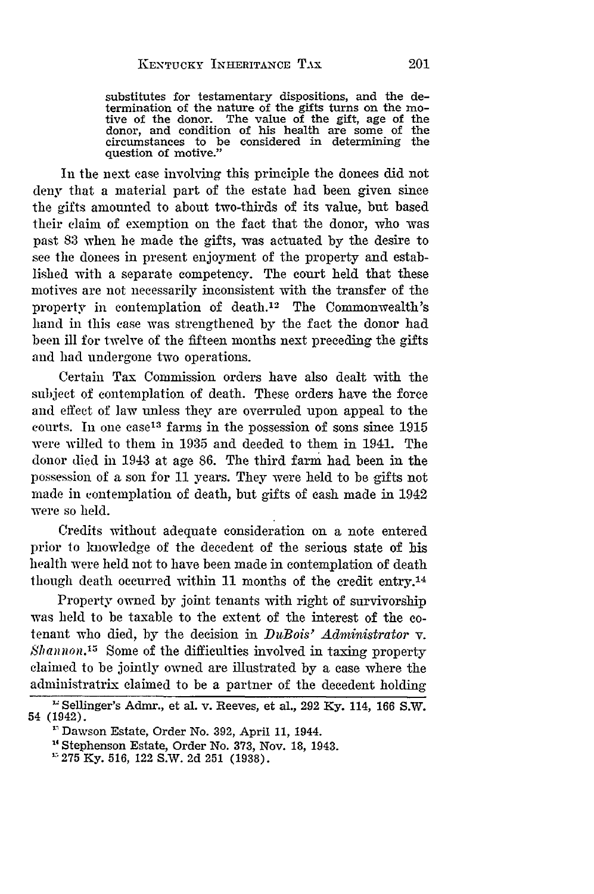substitutes for testamentary dispositions, and the determination of the nature of the gifts turns on the motive of the donor. The value of the gift, age of the donor, and condition of his health are some of the circumstances to be considered in determining the question of motive."

In the next case involving this principle the donees did not deny that a material part of the estate had been given since the gifts amounted to about two-thirds of its value, but based their claim of exemption on the fact that the donor, who was past 83 when he made the gifts, was actuated by the desire to see the donees in present enjoyment of the property and established with a separate competency. The court held that these motives are not necessarily inconsistent with the transfer of the property in contemplation of death.<sup>12</sup> The Commonwealth's hand in this case was strengthened by the fact the donor had been ill for twelve of the fifteen months next preceding the gifts and had undergone two operations.

Certain Tax Commission orders have also dealt with the subject of contemplation of death. These orders have the force and effect of law unless they are overruled upon appeal to the courts. In one case<sup>13</sup> farms in the possession of sons since 1915 were willed to them in 1935 and deeded to them in 1941. The donor died in 1943 at age 86. The third farm had been in the possession of a son for 11 years. They were held to be gifts not made in contemplation of death, but gifts of cash made in 1942 were so held.

Credits without adequate consideration on a note entered prior to kmowledge of the decedent of the serious state of his health were held not to have been made in contemplation of death though death occurred within 11 months of the credit entry.<sup>14</sup>

Property owned by joint tenants with right of survivorship was held to be taxable to the extent of the interest of the cotenant who died, by the decision in *DuBois' Administrator* v.  $Shannon<sup>15</sup>$  Some of the difficulties involved in taxing property claimed to be jointly owned are illustrated by a case where the administratrix claimed to be a partner of the decedent holding

Sellinger's Admr., et al. v. Reeves, et al., 292 Ky. 114, 166 S.W. 54 (1942).

<sup>&#</sup>x27;"Dawson Estate, Order No. 392, April 11, 1944.

**<sup>14</sup>**Stephenson Estate, Order No. 373, Nov. 18, 1943.

<sup>&</sup>lt;sup>1</sup> 275 Ky. 516, 122 S.W. 2d 251 (1938).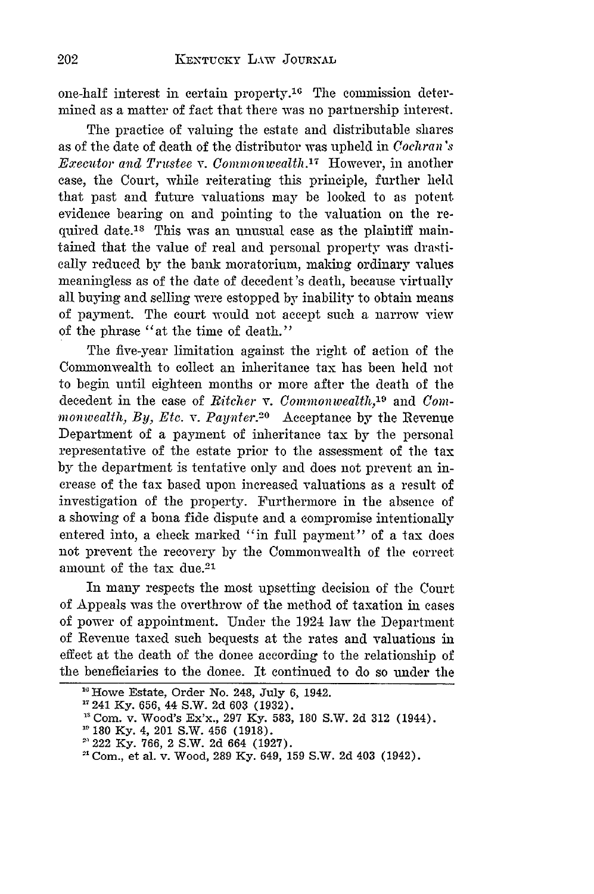one-half interest in certain property.10 The commission determined as a matter of fact that there was no partnership interest.

The practice of valuing the estate and distributable shares as of the date of death of the distributor was upheld in *Cochran's Executor and Trustee v. Conunon wealth.17* However, in another case, the Court, while reiterating this principle, further held that past and future valuations may be looked to as potent evidence bearing on and pointing to the valuation on the required date.<sup>18</sup> This was an unusual case as the plaintiff maintained that the value of real and personal property was drastically reduced by the bank moratorium, making ordinary values meaningless as of the date of decedent's death, because virtually all buying and selling were estopped by inability to obtain means of payment. The court would not accept such a narrow view of the phrase "at the time of death."

The five-year limitation against the right of action of the Commonwealth to collect an inheritance tax has been held not to begin until eighteen months or more after the death of the decedent in the case of *Ritcher v. Commonwealth*,<sup>19</sup> and *Comwonwealth,* By, Etc. *v. Payvter.20* Acceptance by the Revenue Department of a payment of inheritance tax by the personal representative of the estate prior to the assessment of the tax by the department is tentative only and does not prevent an increase of the tax based upon increased valuations as a result of investigation of the property. Furthermore in the absence of a showing of a bona fide dispute and a compromise intentionally entered into, a check marked "in full payment" of a tax does not prevent the recovery by the Commonwealth of the correct amount of the tax due.<sup>21</sup>

In many respects the most upsetting decision of the Court of Appeals was the overthrow of the method of taxation in cases of power of appointment. Under the 1924 law the Department of Revenue taxed such bequests at the rates and valuations in effect at the death of the donee according to the relationship of the beneficiaries to the donee. It continued to do so under the

<sup>&</sup>lt;sup>16</sup> Howe Estate, Order No. 248, July 6, 1942.

<sup>&</sup>quot;241 **Ky. 656,** 44 S.W. **2d 603 (1932).**

<sup>&</sup>lt;sup>18</sup> Com. v. Wood's Ex'x., 297 Ky. 583, 180 S.W. 2d 312 (1944).

<sup>&</sup>lt;sup>19</sup> 180 Ky. 4, 201 S.W. 456 (1918).

<sup>&#</sup>x27; 222 Ky. 766, 2 S.W. 2d 664 (1927).

<sup>&</sup>quot;Com., et al. v. Wood, 289 Ky. 649, 159 S.W. 2d 403 (1942).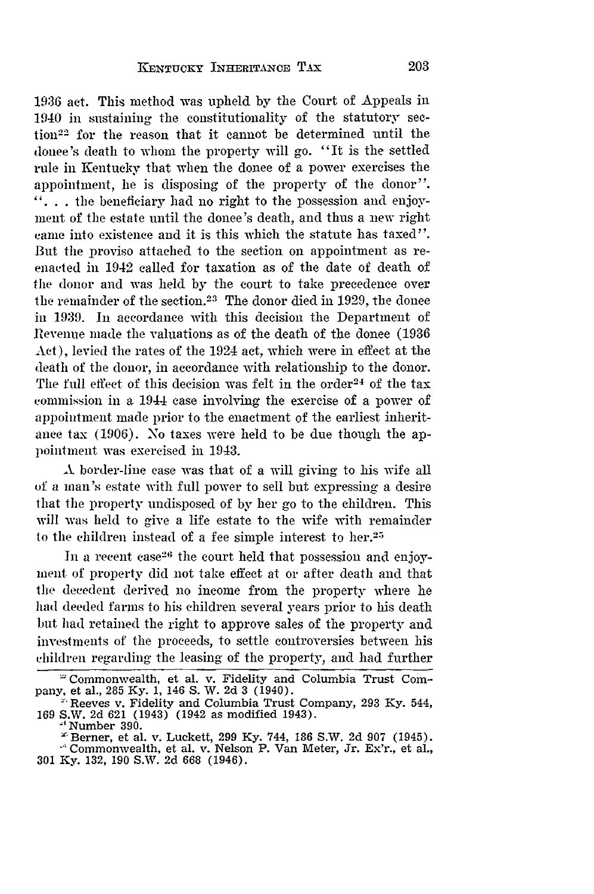1936 act. This method was upheld by the Court of Appeals in 1940 in sustaining the constitutionality of the statutory section'22 for the reason that it cannot be determined until the donee's death to whom the property will go. "It is the settled rule in Kentucky that when the donee of a power exercises the appointment, he is disposing of the property of the donor".  $\ldots$  the beneficiary had no right to the possession and enjoyment of the estate until the donee's death, and thus a new right came into existence and it is this which the statute has taxed". But the proviso attached to the section on appointment as reenacted in 1942 called for taxation as of the date of death of the donor and was held by the court to take precedence over the remainder of the section.<sup>23</sup> The donor died in 1929, the donee in 1939. In accordance with this decision the Department of Revenue made the valuations as of the death of the donee (1936 Act), levied the rates of the 1924 act, which were in effect at the death of the donor, in accordance with relationship to the donor. The full effect of this decision was felt in the order<sup>24</sup> of the tax commission in a 1944 case involving the exercise of a power of appointment made prior to the enactment of the earliest inheritance tax (1906). No taxes were held to be due though the appointment was exercised in 1943.

**A** border-line case was that of a will giving to his wife all of a man's estate with full power to sell but expressing a desire that the property undisposed of by her go to the children. This will was held to give a life estate to the wife with remainder to the children instead of a fee simple interest to her.<sup>25</sup>

In a recent case<sup>26</sup> the court held that possession and enjoyment of property did not take effect at or after death and that the decedent derived no income from the property where he had deeded farms to his children several years prior to his death but had retained the right to approve sales of the property and investments of the proceeds, to settle controversies between his children regarding the leasing of the property, and had further

<sup>&</sup>quot;'Commonwealth, et al. v. Fidelity and Columbia Trust Company, et al., 285 Ky. 1, 146 S. W. 2d 3 (1940).<br><sup>2</sup> Reeves v. Fidelity and Columbia Trust Company, 293 Ky. 544,

Reeves v. Fidelity and Columbia Trust Company, 293 Ky. 544, 169 S.W. 2d 621 (1943) (1942 as modified 1943).

<sup>&#</sup>x27; Number 390.

<sup>&#</sup>x27;Berner, et al. v. Luckett, 299 **Ky.** 744, 186 S.W. 2d 907 (1945).

Commonwealth, et al. v. Nelson P. Van Meter, Jr. Ex'r., et al., **301 Ky. 132, 190** S.W. **2d 668** (1946).